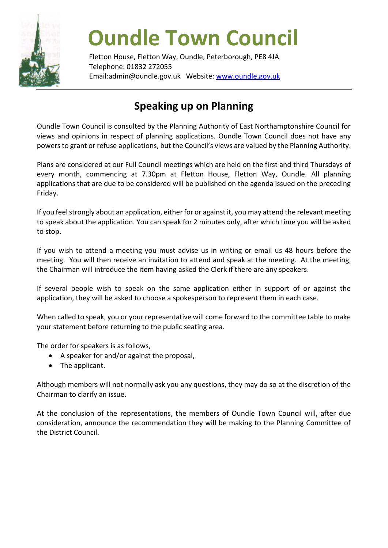

## **Oundle Town Council**

Fletton House, Fletton Way, Oundle, Peterborough, PE8 4JA Telephone: 01832 272055 Email:admin@oundle.gov.uk Website: [www.oundle.gov.uk](http://www.oundle.gov.uk/)

## **Speaking up on Planning**

Oundle Town Council is consulted by the Planning Authority of East Northamptonshire Council for views and opinions in respect of planning applications. Oundle Town Council does not have any powers to grant or refuse applications, but the Council's views are valued by the Planning Authority.

Plans are considered at our Full Council meetings which are held on the first and third Thursdays of every month, commencing at 7.30pm at Fletton House, Fletton Way, Oundle. All planning applications that are due to be considered will be published on the agenda issued on the preceding Friday.

If you feel strongly about an application, either for or against it, you may attend the relevant meeting to speak about the application. You can speak for 2 minutes only, after which time you will be asked to stop.

If you wish to attend a meeting you must advise us in writing or email us 48 hours before the meeting. You will then receive an invitation to attend and speak at the meeting. At the meeting, the Chairman will introduce the item having asked the Clerk if there are any speakers.

If several people wish to speak on the same application either in support of or against the application, they will be asked to choose a spokesperson to represent them in each case.

When called to speak, you or your representative will come forward to the committee table to make your statement before returning to the public seating area.

The order for speakers is as follows,

- A speaker for and/or against the proposal,
- The applicant.

Although members will not normally ask you any questions, they may do so at the discretion of the Chairman to clarify an issue.

At the conclusion of the representations, the members of Oundle Town Council will, after due consideration, announce the recommendation they will be making to the Planning Committee of the District Council.